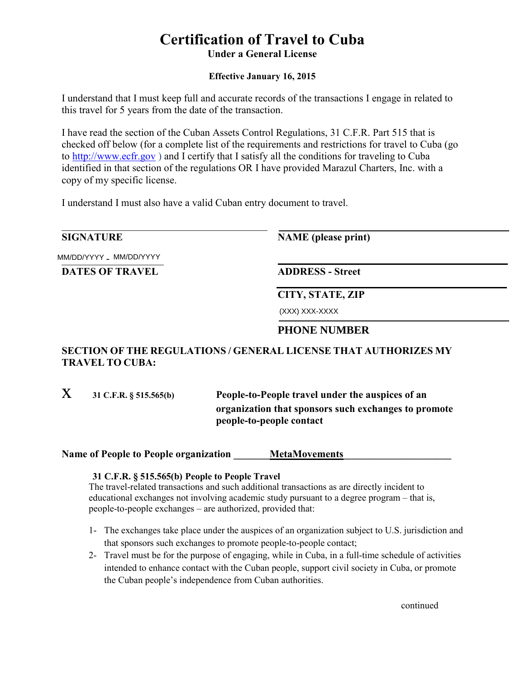# **Certification of Travel to Cuba Under a General License**

### **Effective January 16, 2015**

I understand that I must keep full and accurate records of the transactions I engage in related to this travel for 5 years from the date of the transaction.

I have read the section of the Cuban Assets Control Regulations, 31 C.F.R. Part 515 that is checked off below (for a complete list of the requirements and restrictions for travel to Cuba (go to http://www.ecfr.gov.) and I certify that I satisfy all the conditions for traveling to Cuba identified in that section of the regulations OR I have provided Marazul Charters, Inc. with a copy of my specific license.

I understand I must also have a valid Cuban entry document to travel.

## **SIGNATURE**

**NAME** (please print)

MM/DD/YYYY \_ MM/DD/YYYY

**DATES OF TRAVEL** 

**ADDRESS - Street** 

**CITY, STATE, ZIP** 

| (XXX) XXX-XXXX |
|----------------|
|                |

# **PHONE NUMBER**

## SECTION OF THE REGULATIONS / GENERAL LICENSE THAT AUTHORIZES MY **TRAVEL TO CUBA:**

 $\mathbf{X}$ 31 C.F.R. § 515.565(b) People-to-People travel under the auspices of an organization that sponsors such exchanges to promote people-to-people contact

**Name of People to People organization** MetaMovements

#### 31 C.F.R. § 515.565(b) People to People Travel

The travel-related transactions and such additional transactions as are directly incident to educational exchanges not involving academic study pursuant to a degree program – that is, people-to-people exchanges – are authorized, provided that:

- 1- The exchanges take place under the auspices of an organization subject to U.S. jurisdiction and that sponsors such exchanges to promote people-to-people contact;
- 2- Travel must be for the purpose of engaging, while in Cuba, in a full-time schedule of activities intended to enhance contact with the Cuban people, support civil society in Cuba, or promote the Cuban people's independence from Cuban authorities.

continued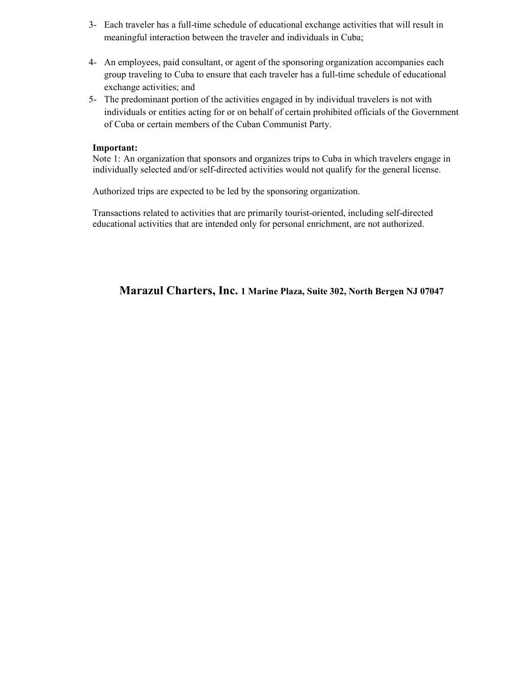- 3- Each traveler has a full-time schedule of educational exchange activities that will result in meaningful interaction between the traveler and individuals in Cuba;
- 4- An employees, paid consultant, or agent of the sponsoring organization accompanies each group traveling to Cuba to ensure that each traveler has a full-time schedule of educational exchange activities; and
- 5- The predominant portion of the activities engaged in by individual travelers is not with individuals or entities acting for or on behalf of certain prohibited officials of the Government of Cuba or certain members of the Cuban Communist Party.

#### Important:

Note 1: An organization that sponsors and organizes trips to Cuba in which travelers engage in individually selected and/or self-directed activities would not qualify for the general license.

Authorized trips are expected to be led by the sponsoring organization.

Transactions related to activities that are primarily tourist-oriented, including self-directed educational activities that are intended only for personal enrichment, are not authorized.

Marazul Charters, Inc. 1 Marine Plaza, Suite 302, North Bergen NJ 07047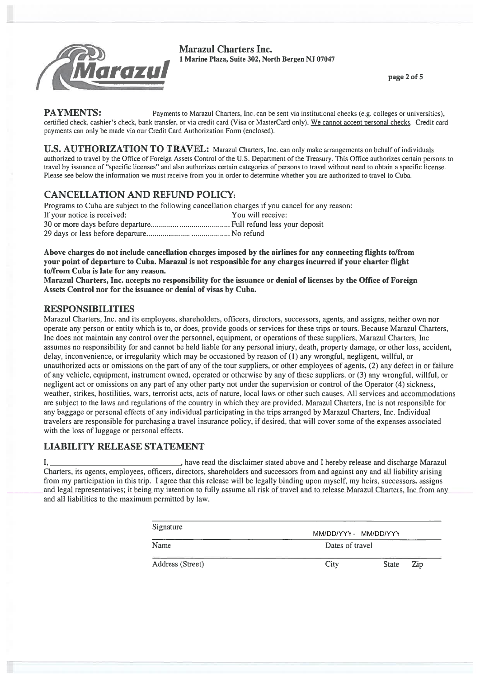

**Marazul Charters Inc.** 1 Marine Plaza, Suite 302, North Bergen NJ 07047

page 2 of 5

**PAYMENTS:** Payments to Marazul Charters, Inc. can be sent via institutional checks (e.g. colleges or universities), certified check, cashier's check, bank transfer, or via credit card (Visa or MasterCard only). We cannot accept personal checks. Credit card payments can only be made via our Credit Card Authorization Form (enclosed).

U.S. AUTHORIZATION TO TRAVEL: Marazul Charters, Inc. can only make arrangements on behalf of individuals authorized to travel by the Office of Foreign Assets Control of the U.S. Department of the Treasury. This Office authorizes certain persons to travel by issuance of "specific licenses" and also authorizes certain categories of persons to travel without need to obtain a specific license. Please see below the information we must receive from you in order to determine whether you are authorized to travel to Cuba.

# **CANCELLATION AND REFUND POLICY:**

Programs to Cuba are subject to the following cancellation charges if you cancel for any reason: If your notice is received: You will receive: 

Above charges do not include cancellation charges imposed by the airlines for any connecting flights to/from your point of departure to Cuba. Marazul is not responsible for any charges incurred if your charter flight to/from Cuba is late for any reason.

Marazul Charters, Inc. accepts no responsibility for the issuance or denial of licenses by the Office of Foreign Assets Control nor for the issuance or denial of visas by Cuba.

## **RESPONSIBILITIES**

Marazul Charters, Inc. and its employees, shareholders, officers, directors, successors, agents, and assigns, neither own nor operate any person or entity which is to, or does, provide goods or services for these trips or tours. Because Marazul Charters, Inc does not maintain any control over the personnel, equipment, or operations of these suppliers, Marazul Charters, Inc assumes no responsibility for and cannot be held liable for any personal injury, death, property damage, or other loss, accident, delay, inconvenience, or irregularity which may be occasioned by reason of (1) any wrongful, negligent, willful, or unauthorized acts or omissions on the part of any of the tour suppliers, or other employees of agents, (2) any defect in or failure of any vehicle, equipment, instrument owned, operated or otherwise by any of these suppliers, or (3) any wrongful, willful, or negligent act or omissions on any part of any other party not under the supervision or control of the Operator (4) sickness, weather, strikes, hostilities, wars, terrorist acts, acts of nature, local laws or other such causes. All services and accommodations are subject to the laws and regulations of the country in which they are provided. Marazul Charters, Inc is not responsible for any baggage or personal effects of any individual participating in the trips arranged by Marazul Charters. Inc. Individual travelers are responsible for purchasing a travel insurance policy, if desired, that will cover some of the expenses associated with the loss of luggage or personal effects.

# **LIABILITY RELEASE STATEMENT**

 $I_{\star}$ . have read the disclaimer stated above and I hereby release and discharge Marazul Charters, its agents, employees, officers, directors, shareholders and successors from and against any and all liability arising from my participation in this trip. I agree that this release will be legally binding upon myself, my heirs, successors, assigns and legal representatives; it being my intention to fully assume all risk of travel and to release Marazul Charters, Inc from any and all liabilities to the maximum permitted by law.

| Signature        | MM/DD/YYY - MM/DD/YYY<br>Dates of travel |              |     |
|------------------|------------------------------------------|--------------|-----|
| Name             |                                          |              |     |
| Address (Street) | City                                     | <b>State</b> | Zip |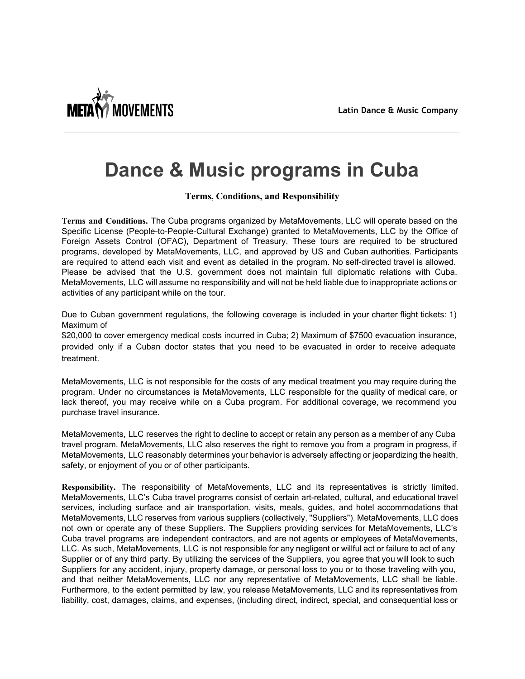

# **Dance & Music programs in Cuba**

#### **Terms, Conditions, and Responsibility**

Terms and Conditions. The Cuba programs organized by MetaMovements, LLC will operate based on the Specific License (People-to-People-Cultural Exchange) granted to MetaMovements, LLC by the Office of Foreign Assets Control (OFAC), Department of Treasury. These tours are required to be structured programs, developed by MetaMovements, LLC, and approved by US and Cuban authorities. Participants are required to attend each visit and event as detailed in the program. No self-directed travel is allowed. Please be advised that the U.S. government does not maintain full diplomatic relations with Cuba. MetaMovements, LLC will assume no responsibility and will not be held liable due to inappropriate actions or activities of any participant while on the tour.

Due to Cuban government regulations, the following coverage is included in your charter flight tickets: 1) Maximum of

\$20,000 to cover emergency medical costs incurred in Cuba; 2) Maximum of \$7500 evacuation insurance, provided only if a Cuban doctor states that you need to be evacuated in order to receive adequate treatment.

MetaMovements, LLC is not responsible for the costs of any medical treatment you may require during the program. Under no circumstances is MetaMovements, LLC responsible for the quality of medical care. or lack thereof, you may receive while on a Cuba program. For additional coverage, we recommend you purchase travel insurance.

MetaMovements, LLC reserves the right to decline to accept or retain any person as a member of any Cuba travel program. MetaMovements, LLC also reserves the right to remove you from a program in progress, if MetaMovements, LLC reasonably determines your behavior is adversely affecting or jeopardizing the health, safety, or enjoyment of you or of other participants.

Responsibility. The responsibility of MetaMovements, LLC and its representatives is strictly limited. MetaMovements, LLC's Cuba travel programs consist of certain art-related, cultural, and educational travel services, including surface and air transportation, visits, meals, guides, and hotel accommodations that MetaMovements, LLC reserves from various suppliers (collectively, "Suppliers"). MetaMovements, LLC does not own or operate any of these Suppliers. The Suppliers providing services for MetaMovements, LLC's Cuba travel programs are independent contractors, and are not agents or employees of MetaMovements, LLC. As such, MetaMovements, LLC is not responsible for any negligent or willful act or failure to act of any Supplier or of any third party. By utilizing the services of the Suppliers, you agree that you will look to such Suppliers for any accident, injury, property damage, or personal loss to you or to those traveling with you, and that neither MetaMovements, LLC nor any representative of MetaMovements, LLC shall be liable. Furthermore, to the extent permitted by law, you release MetaMovements, LLC and its representatives from liability, cost, damages, claims, and expenses, (including direct, indirect, special, and consequential loss or